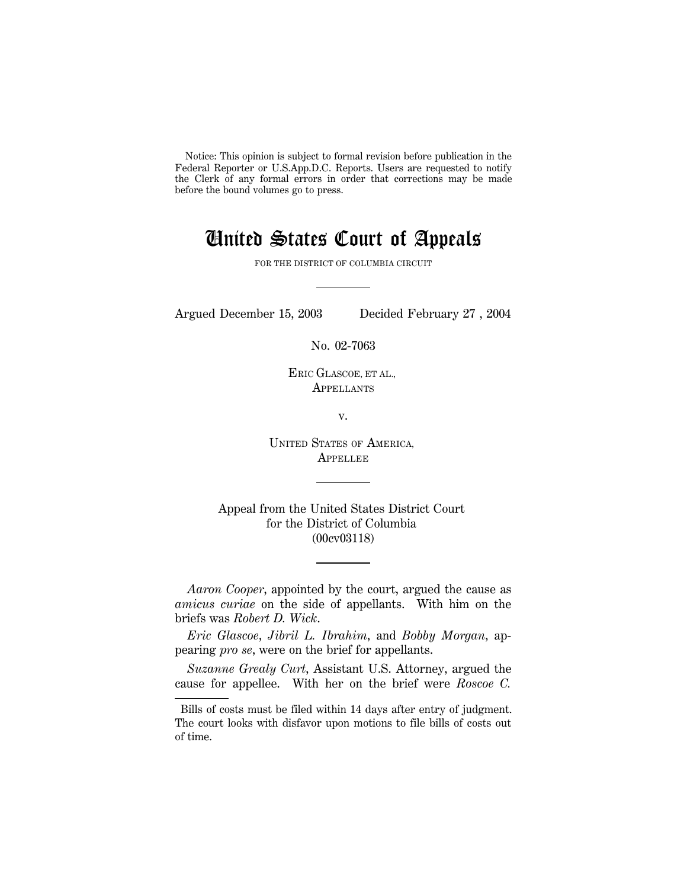Notice: This opinion is subject to formal revision before publication in the Federal Reporter or U.S.App.D.C. Reports. Users are requested to notify the Clerk of any formal errors in order that corrections may be made before the bound volumes go to press.

## United States Court of Appeals

FOR THE DISTRICT OF COLUMBIA CIRCUIT

Argued December 15, 2003 Decided February 27 , 2004

No. 02-7063

ERIC GLASCOE, ET AL., **APPELLANTS** 

v.

UNITED STATES OF AMERICA, **APPELLEE** 

Appeal from the United States District Court for the District of Columbia (00cv03118)

*Aaron Cooper*, appointed by the court, argued the cause as *amicus curiae* on the side of appellants. With him on the briefs was *Robert D. Wick*.

*Eric Glascoe*, *Jibril L. Ibrahim*, and *Bobby Morgan*, appearing *pro se*, were on the brief for appellants.

*Suzanne Grealy Curt*, Assistant U.S. Attorney, argued the cause for appellee. With her on the brief were *Roscoe C.*

Bills of costs must be filed within 14 days after entry of judgment. The court looks with disfavor upon motions to file bills of costs out of time.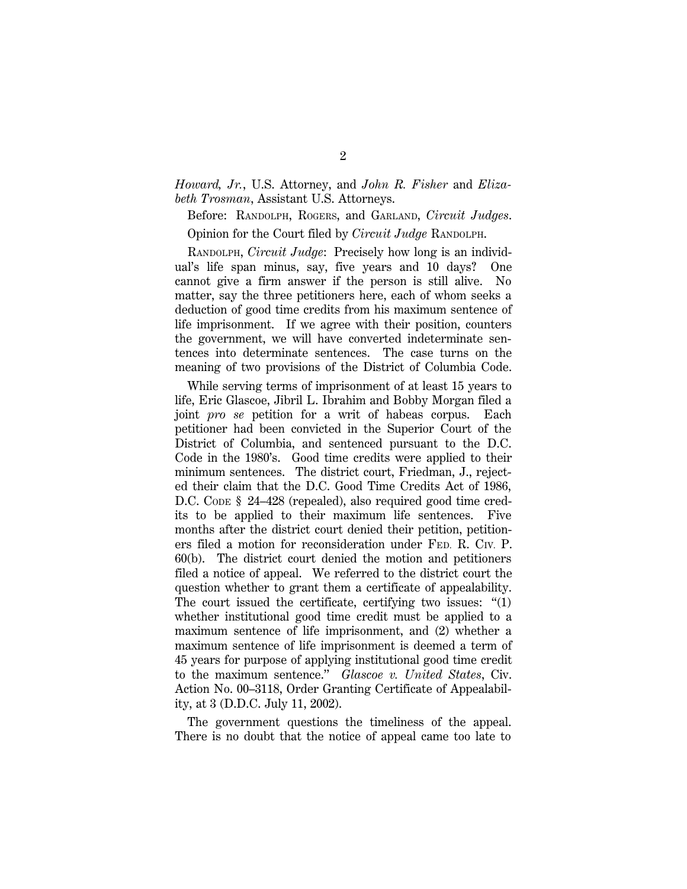*Howard, Jr.*, U.S. Attorney, and *John R. Fisher* and *Elizabeth Trosman*, Assistant U.S. Attorneys.

Before: RANDOLPH, ROGERS, and GARLAND, *Circuit Judges*.

Opinion for the Court filed by *Circuit Judge* RANDOLPH.

RANDOLPH, *Circuit Judge*: Precisely how long is an individual's life span minus, say, five years and 10 days? One cannot give a firm answer if the person is still alive. No matter, say the three petitioners here, each of whom seeks a deduction of good time credits from his maximum sentence of life imprisonment. If we agree with their position, counters the government, we will have converted indeterminate sentences into determinate sentences. The case turns on the meaning of two provisions of the District of Columbia Code.

While serving terms of imprisonment of at least 15 years to life, Eric Glascoe, Jibril L. Ibrahim and Bobby Morgan filed a joint *pro se* petition for a writ of habeas corpus. Each petitioner had been convicted in the Superior Court of the District of Columbia, and sentenced pursuant to the D.C. Code in the 1980's. Good time credits were applied to their minimum sentences. The district court, Friedman, J., rejected their claim that the D.C. Good Time Credits Act of 1986, D.C. CODE § 24–428 (repealed), also required good time credits to be applied to their maximum life sentences. Five months after the district court denied their petition, petitioners filed a motion for reconsideration under FED. R. CIV. P. 60(b). The district court denied the motion and petitioners filed a notice of appeal. We referred to the district court the question whether to grant them a certificate of appealability. The court issued the certificate, certifying two issues:  $''(1)$ whether institutional good time credit must be applied to a maximum sentence of life imprisonment, and (2) whether a maximum sentence of life imprisonment is deemed a term of 45 years for purpose of applying institutional good time credit to the maximum sentence.'' *Glascoe v. United States*, Civ. Action No. 00–3118, Order Granting Certificate of Appealability, at 3 (D.D.C. July 11, 2002).

The government questions the timeliness of the appeal. There is no doubt that the notice of appeal came too late to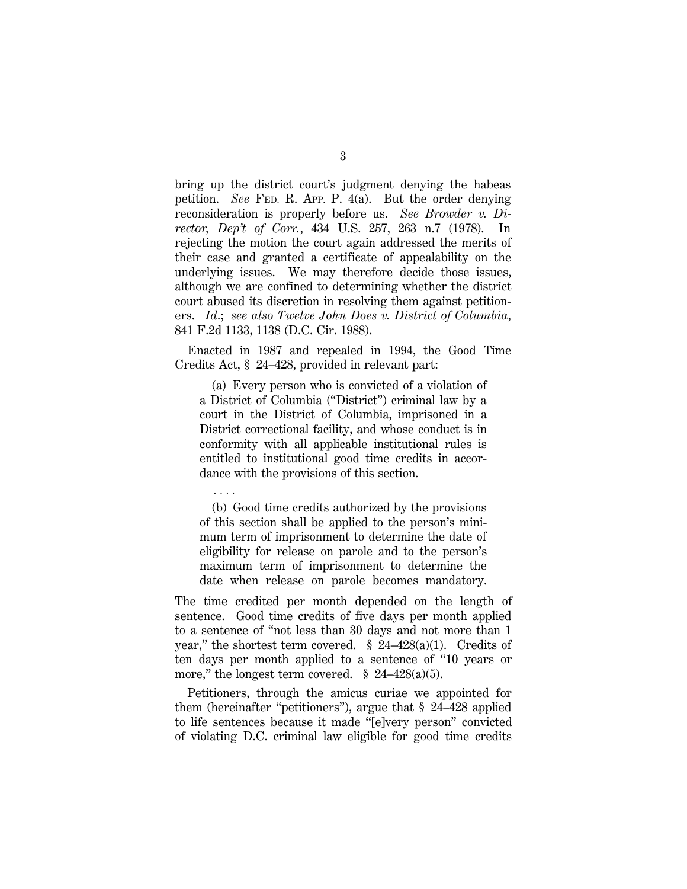bring up the district court's judgment denying the habeas petition. *See* FED. R. APP. P. 4(a). But the order denying reconsideration is properly before us. *See Browder v. Director, Dep't of Corr.*, 434 U.S. 257, 263 n.7 (1978). In rejecting the motion the court again addressed the merits of their case and granted a certificate of appealability on the underlying issues. We may therefore decide those issues, although we are confined to determining whether the district court abused its discretion in resolving them against petitioners. *Id*.; *see also Twelve John Does v. District of Columbia*, 841 F.2d 1133, 1138 (D.C. Cir. 1988).

Enacted in 1987 and repealed in 1994, the Good Time Credits Act, § 24–428, provided in relevant part:

(a) Every person who is convicted of a violation of a District of Columbia (''District'') criminal law by a court in the District of Columbia, imprisoned in a District correctional facility, and whose conduct is in conformity with all applicable institutional rules is entitled to institutional good time credits in accordance with the provisions of this section.

. . . .

(b) Good time credits authorized by the provisions of this section shall be applied to the person's minimum term of imprisonment to determine the date of eligibility for release on parole and to the person's maximum term of imprisonment to determine the date when release on parole becomes mandatory.

The time credited per month depended on the length of sentence. Good time credits of five days per month applied to a sentence of ''not less than 30 days and not more than 1 year," the shortest term covered.  $\S$  24–428(a)(1). Credits of ten days per month applied to a sentence of ''10 years or more," the longest term covered.  $\S$  24–428(a)(5).

Petitioners, through the amicus curiae we appointed for them (hereinafter ''petitioners''), argue that § 24–428 applied to life sentences because it made ''[e]very person'' convicted of violating D.C. criminal law eligible for good time credits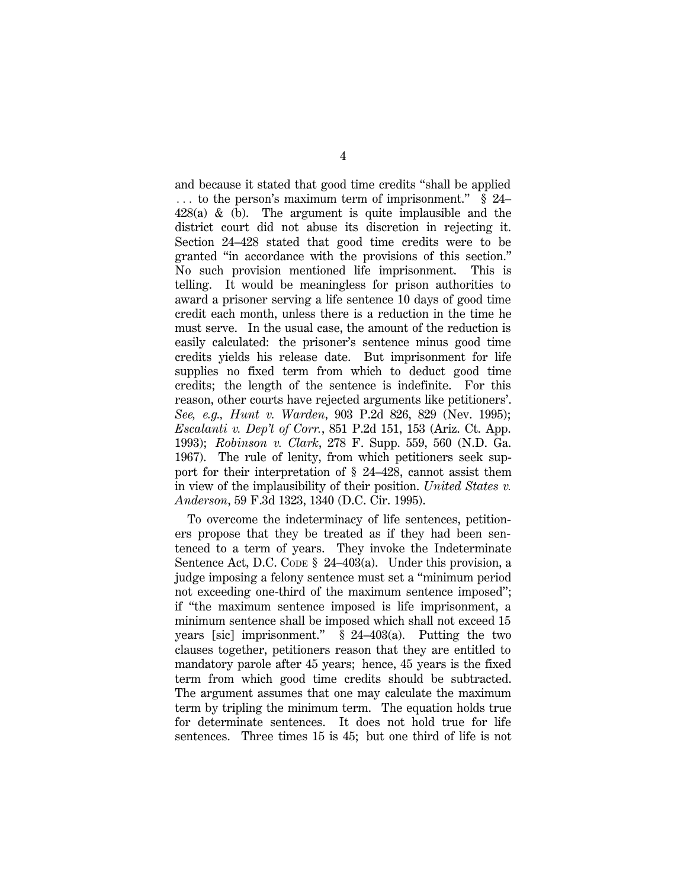and because it stated that good time credits ''shall be applied  $\ldots$  to the person's maximum term of imprisonment." § 24–  $428(a)$  & (b). The argument is quite implausible and the district court did not abuse its discretion in rejecting it. Section 24–428 stated that good time credits were to be granted ''in accordance with the provisions of this section.'' No such provision mentioned life imprisonment. This is telling. It would be meaningless for prison authorities to award a prisoner serving a life sentence 10 days of good time credit each month, unless there is a reduction in the time he must serve. In the usual case, the amount of the reduction is easily calculated: the prisoner's sentence minus good time credits yields his release date. But imprisonment for life supplies no fixed term from which to deduct good time credits; the length of the sentence is indefinite. For this reason, other courts have rejected arguments like petitioners'. *See, e.g., Hunt v. Warden*, 903 P.2d 826, 829 (Nev. 1995); *Escalanti v. Dep't of Corr.*, 851 P.2d 151, 153 (Ariz. Ct. App. 1993); *Robinson v. Clark*, 278 F. Supp. 559, 560 (N.D. Ga. 1967). The rule of lenity, from which petitioners seek support for their interpretation of § 24–428, cannot assist them in view of the implausibility of their position. *United States v. Anderson*, 59 F.3d 1323, 1340 (D.C. Cir. 1995).

To overcome the indeterminacy of life sentences, petitioners propose that they be treated as if they had been sentenced to a term of years. They invoke the Indeterminate Sentence Act, D.C. CODE § 24–403(a). Under this provision, a judge imposing a felony sentence must set a ''minimum period not exceeding one-third of the maximum sentence imposed''; if ''the maximum sentence imposed is life imprisonment, a minimum sentence shall be imposed which shall not exceed 15 years [sic] imprisonment.'' § 24–403(a). Putting the two clauses together, petitioners reason that they are entitled to mandatory parole after 45 years; hence, 45 years is the fixed term from which good time credits should be subtracted. The argument assumes that one may calculate the maximum term by tripling the minimum term. The equation holds true for determinate sentences. It does not hold true for life sentences. Three times 15 is 45; but one third of life is not